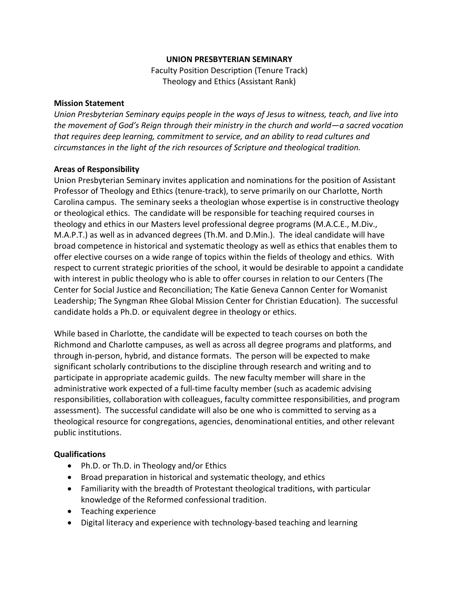## **UNION PRESBYTERIAN SEMINARY**

Faculty Position Description (Tenure Track) Theology and Ethics (Assistant Rank)

## **Mission Statement**

*Union Presbyterian Seminary equips people in the ways of Jesus to witness, teach, and live into the movement of God's Reign through their ministry in the church and world—a sacred vocation that requires deep learning, commitment to service, and an ability to read cultures and circumstances in the light of the rich resources of Scripture and theological tradition.*

## **Areas of Responsibility**

Union Presbyterian Seminary invites application and nominations for the position of Assistant Professor of Theology and Ethics (tenure-track), to serve primarily on our Charlotte, North Carolina campus. The seminary seeks a theologian whose expertise is in constructive theology or theological ethics. The candidate will be responsible for teaching required courses in theology and ethics in our Masters level professional degree programs (M.A.C.E., M.Div., M.A.P.T.) as well as in advanced degrees (Th.M. and D.Min.). The ideal candidate will have broad competence in historical and systematic theology as well as ethics that enables them to offer elective courses on a wide range of topics within the fields of theology and ethics. With respect to current strategic priorities of the school, it would be desirable to appoint a candidate with interest in public theology who is able to offer courses in relation to our Centers (The Center for Social Justice and Reconciliation; The Katie Geneva Cannon Center for Womanist Leadership; The Syngman Rhee Global Mission Center for Christian Education). The successful candidate holds a Ph.D. or equivalent degree in theology or ethics.

While based in Charlotte, the candidate will be expected to teach courses on both the Richmond and Charlotte campuses, as well as across all degree programs and platforms, and through in-person, hybrid, and distance formats. The person will be expected to make significant scholarly contributions to the discipline through research and writing and to participate in appropriate academic guilds. The new faculty member will share in the administrative work expected of a full-time faculty member (such as academic advising responsibilities, collaboration with colleagues, faculty committee responsibilities, and program assessment). The successful candidate will also be one who is committed to serving as a theological resource for congregations, agencies, denominational entities, and other relevant public institutions.

## **Qualifications**

- Ph.D. or Th.D. in Theology and/or Ethics
- Broad preparation in historical and systematic theology, and ethics
- Familiarity with the breadth of Protestant theological traditions, with particular knowledge of the Reformed confessional tradition.
- Teaching experience
- Digital literacy and experience with technology-based teaching and learning